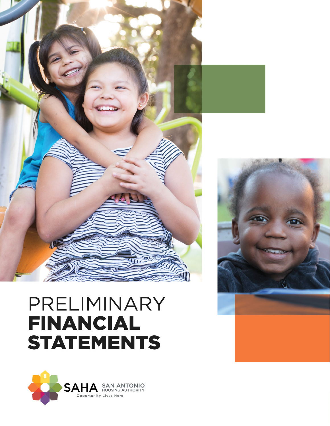

# PRELIMINARY **FINANCIAL STATEMENTS**



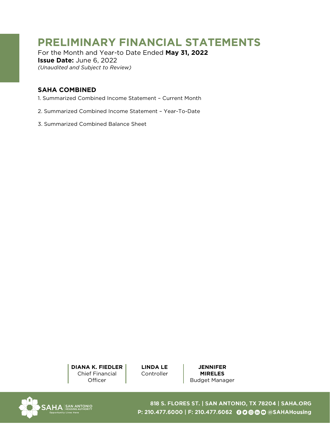# **PRELIMINARY FINANCIAL STATEMENTS**

For the Month and Year-to Date Ended **May 31, 2022 Issue Date:** June 6, 2022 *(Unaudited and Subject to Review)*

## **SAHA COMBINED**

- [1. Summarized Combined Income Statement Current Month](#page-2-0)
- [2. Summarized Combined Income Statement Year-To-Date](#page-4-0)
- [3. Summarized Combined Balance Sheet](#page-6-0)

**DIANA K. FIEDLER** Chief Financial **Officer** 

**LINDA LE Controller** 

**JENNIFER MIRELES**  Budget Manager



818 S. FLORES ST. | SAN ANTONIO, TX 78204 | SAHA.ORG P: 210.477.6000 | F: 210.477.6062 © © © © © © SAHAHousing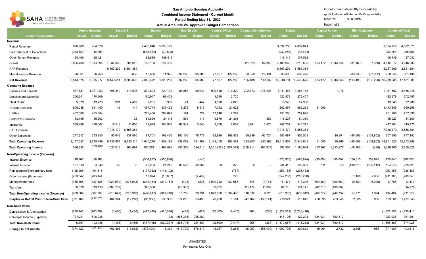<span id="page-2-0"></span>

| <b>SAN ANTONIO</b><br>SAHA<br>Opportunity Lives Here | <b>San Antonio Housing Authority</b><br><b>Combined Income Statement - Current Month</b><br>Period Ending May 31, 2022<br><b>Actual Amounts Vs. Approved Budget Comparison</b> |               |               |               |                                     |               |                    |               |                             |               |               |                                                |                             | GIJdeIncomeStatementByResponsibility<br>rp GlJdeIncomeStatementByResponsibility<br>6/7/2022 |                                     |               |               |                                              |                      |                             |
|------------------------------------------------------|--------------------------------------------------------------------------------------------------------------------------------------------------------------------------------|---------------|---------------|---------------|-------------------------------------|---------------|--------------------|---------------|-----------------------------|---------------|---------------|------------------------------------------------|-----------------------------|---------------------------------------------------------------------------------------------|-------------------------------------|---------------|---------------|----------------------------------------------|----------------------|-----------------------------|
|                                                      | <b>Section 8</b><br><b>Public Housing</b>                                                                                                                                      |               |               |               | <b>Beacon</b><br><b>Real Estate</b> |               |                    |               | <b>Central Office</b>       |               |               | <b>Subotal</b><br><b>Community Initiatives</b> |                             |                                                                                             | Page 1 of 2<br><b>Capital Funds</b> |               |               | <b>Combined Total</b><br><b>Elim Company</b> |                      |                             |
| <b>Account Description</b>                           | <b>Actual</b>                                                                                                                                                                  | <b>Budget</b> | <b>Actual</b> | <b>Budget</b> | <b>Actual</b>                       | <b>Budget</b> | <b>Actual</b>      | <b>Budget</b> | <b>Actual</b>               | <b>Budget</b> | <b>Actual</b> | <b>Budget</b>                                  | <b>Actual</b>               | <b>Budget</b>                                                                               | Actual                              | <b>Budget</b> | <b>Actual</b> | <b>Budget</b>                                | <b>Actual</b>        | <b>Budget</b>               |
| Revenue                                              |                                                                                                                                                                                |               |               |               |                                     |               |                    |               |                             |               |               |                                                |                             |                                                                                             |                                     |               |               |                                              |                      |                             |
| <b>Rental Revenue</b>                                | 898,908                                                                                                                                                                        | 964,679       |               |               | 2,435,848                           | 3,038,192     |                    |               |                             |               |               |                                                | 3,334,756                   | 4,002,871                                                                                   |                                     |               |               |                                              | 3,334,756            | 4,002,871                   |
| Bad Debt, Net of Collections                         | (263, 422)                                                                                                                                                                     | (8,786)       |               |               | (668, 834)                          | (79, 898)     |                    |               |                             |               |               |                                                | (932, 256)                  | (88, 684)                                                                                   |                                     |               |               |                                              | (932, 256)           | (88, 684)                   |
| <b>Other Tenant Revenue</b>                          | 24,460                                                                                                                                                                         | 28,421        |               |               | 93,689                              | 108,611       |                    |               |                             |               |               |                                                | 118,149                     | 137,032                                                                                     |                                     |               |               |                                              | 118,149              | 137,032                     |
| Grants                                               | 2,825,768                                                                                                                                                                      | 2,074,694     | ,082,330      | 801,612       | 169,133                             | 241,439       |                    |               |                             |               | 111,829       | 92,850                                         | ,189,060                    | 3,210,595                                                                                   | 484,172                             | 1,043,746     | (31, 160)     | (7, 358)                                     | 4,642,072            | 4,246,983                   |
| <b>HAP Revenue</b>                                   |                                                                                                                                                                                |               | 8,367,209     | 8,581,384     |                                     |               |                    |               |                             |               |               |                                                | 8,367,209                   | 8,581,384                                                                                   |                                     |               |               |                                              | 8,367,209            | 8,581,384                   |
| Miscellaneous Revenue                                | 28,861                                                                                                                                                                         | 26,269        | 75            | 3,808         | 10,636                              | 14,925        | 692.265            | 505,985       | 77,897                      | 122.256       | 23,659        | 26,181                                         | 833,393                     | 699,426                                                                                     |                                     |               | (83, 338)     | (97, 932)                                    | 750,055              | 601,494                     |
| <b>Net Revenue</b>                                   | 3,514,575                                                                                                                                                                      | 3,085,277     | 9,449,614     | 9,386,805     | 2,040,472                           | 3,323,269     | 692,265            | 505,985       | 77,897                      | 122,256       | 135,488       | 119,032                                        | 15,910,311                  | 16,542,625                                                                                  | 484,172                             | 1,043,746     | (114, 498)    | (105, 290)                                   | 16,279,985           | 17,481,080                  |
| <b>Operating Expense</b>                             |                                                                                                                                                                                |               |               |               |                                     |               |                    |               |                             |               |               |                                                |                             |                                                                                             |                                     |               |               |                                              |                      |                             |
| <b>Salaries and Benefits</b>                         | 937,431                                                                                                                                                                        | 1,087,953     | 395,340       | 414,536       | 579,624                             | 729,199       | 86,858             | 89.943        | 909,440                     | 917,329       | 202,773       | 216,208                                        | 3,111,467                   | 3,455,168                                                                                   |                                     | 1,078         |               |                                              | 3,111,467            | 3,456,246                   |
| <b>Supplies and Materials</b>                        | 260,341                                                                                                                                                                        | 170,309       |               |               | 160,947                             | 99,423        |                    |               | 1,590                       | 2,725         |               |                                                | 422,878                     | 272,457                                                                                     |                                     |               |               |                                              | 422,878              | 272,457                     |
| <b>Fleet Costs</b>                                   | 9,079                                                                                                                                                                          | 13,273        | 891           | 2,459         | 2,201                               | 3,982         | 71                 | 442           | 1,098                       | 2,826         |               |                                                | 13,340                      | 22,980                                                                                      |                                     |               |               |                                              | 13,340               | 22,980                      |
| <b>Outside Services</b>                              | 909,038                                                                                                                                                                        | 631,450       | 45            | 144           | 457,744                             | 337,423       | 8,272              | 8,616         | 7,752                       | 21,622        |               |                                                | 1,382,851                   | 999,255                                                                                     | 31,005                              |               |               |                                              | 1,413,856            | 999,255                     |
| Utilities                                            | 462,008                                                                                                                                                                        | 435,384       |               |               | 276,436                             | 309,699       | 194                | 324           | 12,648                      | 12,292        |               |                                                | 751,286                     | 757,698                                                                                     |                                     |               |               |                                              | 751,286              | 757,698                     |
| <b>Protective Services</b>                           | 53,159                                                                                                                                                                         | 35,203        |               | 26            | 51,629                              | 24,115        | 564                | 117           | 9,876                       | 24,308        |               | 592                                            | 115,227                     | 84,360                                                                                      |                                     |               |               |                                              | 115,227              | 84,360                      |
| Insurance                                            | 339,409                                                                                                                                                                        | 128,067       | 16,512        | 11,666        | 23,929                              | 186,916       | 62,942             | 3,648         | 3,768                       | 12,602        | 1,141         | 2,875                                          | 447,701                     | 345,775                                                                                     |                                     |               |               |                                              | 447,701              | 345,775                     |
| <b>HAP Expense</b>                                   |                                                                                                                                                                                |               | 7,918,170     | 8,556,384     |                                     |               |                    |               |                             |               |               |                                                | 7,918,170                   | 8,556,384                                                                                   |                                     |               |               |                                              | 7,918,170            | 8,556,384                   |
| <b>Other Expenses</b>                                | 217,217                                                                                                                                                                        | 213,850       | 95,643        | 137,895       | 87,701                              | 168,436       | 180,100            | 78,779        | 182,938                     | 189,878       | 89,889        | 63,724                                         | 853,487                     | 852,563                                                                                     |                                     | 29,391        | (95, 592)     | (104, 852)                                   | 757,895              | 777,102                     |
| <b>Total Operating Expense</b>                       | 3,187,682                                                                                                                                                                      | 2,715,489     | 8,426,601     | 9,123,110     | 1,640,210                           | 1,859,193     | 339,002            | 181,869       | 1,129,109                   | 1,183,581     | 293,803       | 283,399                                        | 15,016,407                  | 15,346,641                                                                                  | 31,005                              | 30,469        | (95, 592)     |                                              | (104,852) 14,951,820 | 15,272,258                  |
| <b>Total Operating Income</b>                        | 326,893                                                                                                                                                                        | 369,788       | 1,023,013     | 263,694       | 400,261                             | 1,464,076     | 353,263            | 324,116       | $(1,051,212)$ $(1,061,324)$ |               | (158, 314)    | (164, 367)                                     | 893,904                     | 1,195,984                                                                                   | 453,167                             | 1,013,277     | (18,906)      | (438)                                        | 1,328,165            | 2,208,822                   |
| Non-Operating Income (Expense)                       |                                                                                                                                                                                |               |               |               |                                     |               |                    |               |                             |               |               |                                                |                             |                                                                                             |                                     |               |               |                                              |                      |                             |
| Interest Expense                                     | (19,968)                                                                                                                                                                       | (19,968)      |               |               | (506, 987)                          | (556, 816)    |                    | (140)         |                             |               |               |                                                | (526, 955)                  | (576, 924)                                                                                  | (30,004)                            | (30,004)      | 130,313       | 139,098                                      | (426, 646)           | (467, 830)                  |
| Interest Income                                      | 121,510                                                                                                                                                                        | 54,849        | 32            | 33            | 23,283                              | 21,245        | 89,522             | 32,802        | 63                          | 372           | 6             | 2                                              | 234,416                     | 109,303                                                                                     | 111                                 | 10            | (130, 313)    | (138,142)                                    | 104,213              | (28, 828)                   |
| Replacement/Extraordinary Item                       | (115, 205)                                                                                                                                                                     | (94, 615)     |               |               | (137, 953)                          | (141, 102)    |                    |               |                             | (767)         |               |                                                | (253, 158)                  | (236, 483)                                                                                  |                                     |               |               |                                              | (253, 158)           | (236, 483)                  |
| Other Income (Expense)                               | (259, 342)                                                                                                                                                                     | (203,144)     |               |               | 17,074                              | (10, 887)     |                    | (2, 492)      |                             | 225           |               |                                                | (242, 268)                  | (216, 298)                                                                                  |                                     |               | 31,160        | 7,358                                        | (211, 108)           | (208, 940)                  |
| <b>Management Fees</b>                               | (485, 105)                                                                                                                                                                     | (437,625)     | (229,949)     | (275, 943)    | (212, 134)                          | (240, 151)    | (403)              | (836)         | 1,039,712                   | 1,069,655     | (648)         | (1,784)                                        | 111,473                     | 113,316                                                                                     | (109, 869)                          | (109,869)     | (9,389)       | (6,920)                                      | (7,786)              | (3, 473)                    |
| <b>Transfers</b>                                     | 50,029                                                                                                                                                                         | 113,136       | (388, 732)    |               | 320,500                             |               | (70, 366)          |               | 39,905                      |               | 111,174       | 11,009                                         | 62,510                      | 124,145                                                                                     | (62, 510)                           | (109, 869)    |               |                                              |                      | 14,276                      |
| <b>Total Non-Operating Income (Expense)</b>          | (708, 082)                                                                                                                                                                     | (587, 366)    | (618, 649)    | (275, 910)    | (496, 217)                          | (927, 710)    | 18,753             | 29,334        | 1,079,680                   | 1,069,485     | 110,532       | 9,226                                          | (613,983)                   | (682, 942)                                                                                  | (202, 272)                          | (249, 732)    | 21,771        | 1,394                                        | (794, 484)           | (931, 279)                  |
| Surplus or Deficit Prior to Non-Cash Items (381,189) |                                                                                                                                                                                | (217,578)     | 404,364       | (12, 216)     | (95, 956)                           | 536,366       | 372,016            | 353,450       | 28,468                      | 8,161         | (47, 782)     | (155, 141)                                     | 279,921                     | 513,042                                                                                     | 250,895                             | 763,545       | 2,865         | 956                                          | 533,681              | 1,277,543                   |
| <b>Non-Cash Items</b>                                |                                                                                                                                                                                |               |               |               |                                     |               |                    |               |                             |               |               |                                                |                             |                                                                                             |                                     |               |               |                                              |                      |                             |
| Depreciation & Amortization                          | (730, 443)                                                                                                                                                                     | (703, 792)    | (1, 466)      | (1, 466)      | (477, 445)                          | (520, 014)    | (429)              | (429)         | (12,500)                    | (9, 447)      | (268)         | (268)                                          | $(1,222,551)$ $(1,235,416)$ |                                                                                             |                                     |               |               |                                              |                      | $(1,222,551)$ $(1,235,416)$ |
| Non-Oper Income (Expense)                            | 737,211                                                                                                                                                                        | 896,928       |               |               |                                     |               | $(13)$ $(885,316)$ | 225,289       |                             |               |               |                                                | (148, 105)                  | 1,122,203                                                                                   | (134, 931)                          | (760, 812)    |               |                                              | (283, 036)           | 361,391                     |
| <b>Total Non-Cash Items</b>                          | 6,767                                                                                                                                                                          | 193,135       | (1, 466)      | (1,466)       | (477, 445)                          | (520, 027)    | (885, 745)         | 224,860       | (12,500)                    | (9, 447)      | (268)         | (268)                                          | (1,370,657)                 | (113, 213)                                                                                  | (134, 931)                          | (760, 812)    |               |                                              | (1,505,588)          | (874, 025)                  |
| <b>Change In Net Assets</b>                          | (374, 422)                                                                                                                                                                     | (24, 442)     | 402,898       | (13,682)      | (573, 400)                          | 16,339        | (513, 729)         | 578,310       | 15,967                      | (1,286)       | (48,050)      | (155, 409)                                     | (1,090,736)                 | 399,829                                                                                     | 115,964                             | 2,732         | 2,865         | 956                                          | (971, 907)           | 403,518                     |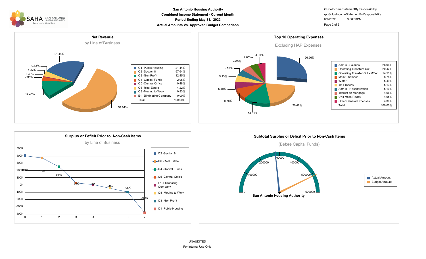

#### **Combined Income Statement - Current Month Period Ending May 31, 2022 Actual Amounts Vs. Approved Budget Comparison Page 2 of 2 Page 2 of 2 San Antonio Housing Authority**

### GlJdeIncomeStatementByResponsibility 6/7/2022 3:08:50PM rp\_GlJdeIncomeStatementByResponsibility







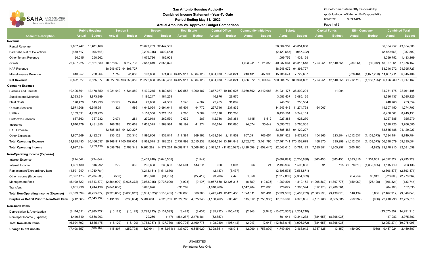<span id="page-4-0"></span>

| <b>SAN ANTONIO</b><br>SAHA<br><b>HOUSING AUTHORITY</b><br>Opportunity Lives Here | <b>San Antonio Housing Authority</b><br><b>Combined Income Statement - Year-To-Date</b><br>Period Ending May 31, 2022<br><b>Actual Amounts Vs. Approved Budget Comparison</b> |               |                                           |               |                                                                        |                                                                           |                               |                       |                                            |                              |                                                            |                     | GIJdeIncomeStatementByResponsibility<br>rp GIJdeIncomeStatementByResponsibility<br>6/7/2022<br>Page 1 of 2 |                       |                     |                                                           |                             |                       |                                                |                   |
|----------------------------------------------------------------------------------|-------------------------------------------------------------------------------------------------------------------------------------------------------------------------------|---------------|-------------------------------------------|---------------|------------------------------------------------------------------------|---------------------------------------------------------------------------|-------------------------------|-----------------------|--------------------------------------------|------------------------------|------------------------------------------------------------|---------------------|------------------------------------------------------------------------------------------------------------|-----------------------|---------------------|-----------------------------------------------------------|-----------------------------|-----------------------|------------------------------------------------|-------------------|
|                                                                                  | <b>Public Housing</b><br><b>Section 8</b>                                                                                                                                     |               |                                           | <b>Beacon</b> |                                                                        | <b>Real Estate</b>                                                        |                               | <b>Central Office</b> |                                            | <b>Community Initiatives</b> |                                                            | <b>Subotal</b>      |                                                                                                            | <b>Capital Funds</b>  |                     | <b>Elim Company</b>                                       |                             | <b>Combined Total</b> |                                                |                   |
| <b>Account Description</b>                                                       | Actual                                                                                                                                                                        | <b>Budget</b> | <b>Actual</b>                             | <b>Budget</b> | <b>Actual</b>                                                          | <b>Budget</b>                                                             | <b>Actual</b>                 | <b>Budget</b>         | <b>Actual</b>                              | <b>Budget</b>                | <b>Actual</b>                                              | <b>Budget</b>       | <b>Actual</b>                                                                                              | <b>Budget</b>         | <b>Actual</b>       | <b>Budget</b>                                             | <b>Actual</b>               | <b>Budget</b>         | <b>Actual</b>                                  | <b>Budget</b>     |
| Revenue                                                                          |                                                                                                                                                                               |               |                                           |               |                                                                        |                                                                           |                               |                       |                                            |                              |                                                            |                     |                                                                                                            |                       |                     |                                                           |                             |                       |                                                |                   |
| <b>Rental Revenue</b>                                                            | 9,687,247                                                                                                                                                                     | 10,611,469    |                                           |               |                                                                        | 26,677,709 32,442,539                                                     |                               |                       |                                            |                              |                                                            |                     | 36,364,957                                                                                                 | 43,054,008            |                     |                                                           |                             |                       | 36,364,957                                     | 43,054,008        |
| Bad Debt, Net of Collections                                                     | (139, 617)                                                                                                                                                                    | (96, 648)     |                                           |               | (2,290,045)                                                            | (890, 654)                                                                |                               |                       |                                            |                              |                                                            |                     | (2,429,663)                                                                                                | (987, 302)            |                     |                                                           |                             |                       | (2,429,663)                                    | (987, 302)        |
| <b>Other Tenant Revenue</b>                                                      | 24,015                                                                                                                                                                        | 250,262       |                                           |               | 1,075,736                                                              | 1,182,908                                                                 |                               |                       |                                            |                              |                                                            |                     | 1,099,752                                                                                                  | 1,433,169             |                     |                                                           |                             |                       | 1,099,752                                      | 1,433,169         |
| Grants                                                                           | 26,607,225                                                                                                                                                                    | 22,821,630    | 10,578,979                                | 8,817,735     | 2,657,619                                                              | 2,655,825                                                                 |                               |                       |                                            |                              | 1,093,241                                                  | 1,021,353           | 40,937,064                                                                                                 | 35,316,543            | 7,704,251           | 12,140,555                                                | (284, 254)                  | (80, 942)             | 48,357,061                                     | 47,376,157        |
| <b>HAP Revenue</b>                                                               |                                                                                                                                                                               |               | 88,246,972 94,395,727                     |               |                                                                        |                                                                           |                               |                       |                                            |                              |                                                            |                     |                                                                                                            | 88,246,972 94,395,727 |                     |                                                           |                             |                       | 88,246,972 94,395,727                          |                   |
| Miscellaneous Revenue                                                            | 643,957                                                                                                                                                                       | 288,964       | 1,759                                     | 41,888        | 107,838                                                                |                                                                           | 174,866 13,427,917            | 5,584,123             |                                            | 1,361,073 1,344,821          | 243,131                                                    | 287,996             | 15,785,674                                                                                                 | 7,722,657             |                     |                                                           | (928, 464)                  |                       | $(1,077,253)$ 14,857,211                       | 6,645,404         |
| <b>Net Revenue</b>                                                               | 36,822,827                                                                                                                                                                    | 33,875,677    | 98,827,709 103,255,350                    |               |                                                                        | 28,228,858 35,565,483 13,427,917 5,584,123                                |                               |                       |                                            | 1,361,073 1,344,821          | 1,336,372                                                  |                     | 1,309,349 180,004,756 180,934,802                                                                          |                       | 7,704,251           | 12,140,555 (1,212,718) (1,158,195)186,496,289 191,917,162 |                             |                       |                                                |                   |
| <b>Operating Expense</b>                                                         |                                                                                                                                                                               |               |                                           |               |                                                                        |                                                                           |                               |                       |                                            |                              |                                                            |                     |                                                                                                            |                       |                     |                                                           |                             |                       |                                                |                   |
| <b>Salaries and Benefits</b>                                                     | 10,496,691                                                                                                                                                                    | 12,170,850    | 4,221,042                                 | 4,634,880     | 6,439,245                                                              | 8,480,669                                                                 | 1,127,558                     | 1,000,187             |                                            |                              | 9.867.077 10.199.626 2.079.562 2.412.988                   |                     | 34,231,175 38,899,201                                                                                      |                       |                     | 11,994                                                    |                             |                       | 34,231,175 38,911,195                          |                   |
| <b>Supplies and Materials</b>                                                    | 2,383,314                                                                                                                                                                     | 1,873,899     |                                           |               | 1,186,247                                                              | 1,181,251                                                                 |                               |                       | 16,876                                     | 29,975                       |                                                            |                     | 3,586,437                                                                                                  | 3,085,125             |                     |                                                           |                             |                       | 3,586,437                                      | 3,085,125         |
| <b>Fleet Costs</b>                                                               | 178,478                                                                                                                                                                       | 145,998       | 18,579                                    | 27,044        | 27,680                                                                 | 44,569                                                                    | 1,545                         | 4,862                 | 22,485                                     | 31,082                       |                                                            |                     | 248,766                                                                                                    | 253,554               |                     |                                                           |                             |                       | 248,766                                        | 253,554           |
| <b>Outside Services</b>                                                          | 9,571,908                                                                                                                                                                     | 6,945,951     | 321                                       | 1,586         | 4,646,094                                                              | 3,994,644                                                                 | 87,404                        | 94,772                | 237,716                                    | 237,839                      |                                                            |                     | 14,543,443                                                                                                 | 11,274,793            | 64,007              |                                                           |                             |                       | 14,607,450                                     | 11,274,793        |
| Utilities                                                                        | 5,159,691                                                                                                                                                                     | 4,789,220     |                                           |               | 3,157,350                                                              | 3,321,158                                                                 | 2,285                         | 3,564                 | 137,176                                    | 135,208                      |                                                            |                     | 8,456,501                                                                                                  | 8,249,151             |                     |                                                           |                             |                       | 8,456,501                                      | 8,249,151         |
| <b>Protective Services</b>                                                       | 637,863                                                                                                                                                                       | 387,232       | 2,071                                     | 284           | 270,918                                                                | 262,570                                                                   | 2,632                         | 1,287                 | 112,756                                    | 267,384                      | 1,145                                                      | 6,512               | 1,027,385                                                                                                  | 925,270               |                     |                                                           |                             |                       | 1,027,385                                      | 925,270           |
| Insurance                                                                        | 1,610,179                                                                                                                                                                     | 1,431,356     | 108,288                                   | 136,669       | 1,638,375                                                              | 1,969,584                                                                 | 99,192                        | 41,374                | 110,614                                    | 151,880                      | 24,074                                                     | 35,642              | 3,590,723                                                                                                  | 3,766,505             |                     |                                                           |                             |                       | 3,590,723                                      | 3,766,505         |
| <b>HAP Expense</b>                                                               |                                                                                                                                                                               |               | 83,585,488 94,120,227                     |               |                                                                        |                                                                           |                               |                       |                                            |                              |                                                            |                     | 83,585,488                                                                                                 | 94,120,227            |                     |                                                           |                             |                       | 83,585,488                                     | 94,120,227        |
| <b>Other Expenses</b>                                                            | 1,857,369                                                                                                                                                                     | 2,422,031     | 1,233,129                                 | 1,536,310     | 1,596,666                                                              | 1,933,814                                                                 | 1,417,384                     | 869,192               | 1,429,584                                  | 2,111,852                    | 657,691                                                    | 706,654             | 8,191,822                                                                                                  | 9,579,853             | 104,863             | 323,304                                                   | $(1,012,531)$ $(1,153,373)$ |                       | 7,284,154                                      | 8,749,784         |
| <b>Total Operating Expense</b>                                                   | 31,895,493                                                                                                                                                                    | 30,166,537    | 89,168,917 100,457,001                    |               |                                                                        | 18,962,575 21,188,259 2,737,999 2,015,238 11,934,284 13,164,848 2,762,472 |                               |                       |                                            |                              |                                                            |                     | 3,161,795 157,461,741 170,153,679                                                                          |                       | 168,870             | 335,298                                                   |                             |                       | (1,012,531) (1,153,373)156,618,079 169,335,604 |                   |
| <b>Total Operating Income</b>                                                    | 4,927,334                                                                                                                                                                     | 3,709,139     | 9,658,792                                 | 2,798,349     | 9,266,282                                                              | 14,377,224 10,689,917                                                     |                               |                       |                                            |                              | 3,568,885 (10,573,211)(11,820,027) (1,426,099) (1,852,447) |                     | 22,543,015                                                                                                 | 10,781,123            | 7,535,381           | 11,805,257                                                | (200, 186)                  |                       | (4,822) 29,878,210 22,581,559                  |                   |
| Non-Operating Income (Expense)                                                   |                                                                                                                                                                               |               |                                           |               |                                                                        |                                                                           |                               |                       |                                            |                              |                                                            |                     |                                                                                                            |                       |                     |                                                           |                             |                       |                                                |                   |
| <b>Interest Expense</b>                                                          | (224, 642)                                                                                                                                                                    | (224, 642)    |                                           |               |                                                                        | $(5,463,240)$ $(6,040,505)$                                               |                               | (1, 542)              |                                            |                              |                                                            |                     | (5,687,881)                                                                                                | (6, 266, 688)         | (363, 450)          | (363, 450)                                                | 1,393,810                   | 1,334,909             | (4,657,522)                                    | (5,295,229)       |
| Interest Income                                                                  | 1,301,480                                                                                                                                                                     | 816,292       | 272                                       | 360           | 236,658                                                                | 233,603                                                                   | 954,501                       | 544,511               | 960                                        | 4,097                        | 66                                                         | 21                  | 2,493,937                                                                                                  | 1,598,883             | 591                 |                                                           | 115 (1,378,810)             | (1,335,865)           | 1,115,719                                      | 263,133           |
| Replacement/Extraordinary Item                                                   | (1,591,240)                                                                                                                                                                   | (1,040,764)   |                                           |               |                                                                        | $(1,213,151)$ $(1,514,670)$                                               |                               |                       | (2, 187)                                   | (8, 437)                     |                                                            |                     | (2,806,578)                                                                                                | (2,563,871)           |                     |                                                           |                             |                       | (2,806,578)                                    | (2,563,871)       |
| Other Income (Expense)                                                           | (2,067,173)                                                                                                                                                                   | (2, 234, 588) | (500)                                     |               | 856,370                                                                | (94, 785)                                                                 |                               | (27, 412)             | (3,206)                                    | 2,475                        | 1,650                                                      |                     | (1,212,859)                                                                                                | (2,354,309)           |                     |                                                           | 284,254                     | 80,942                | (928, 605)                                     | (2, 273, 367)     |
| <b>Management Fees</b>                                                           | (5, 109, 822)                                                                                                                                                                 |               | $(4,813,870)$ $(2,584,990)$ $(3,035,372)$ |               |                                                                        | $(2,088,945)$ $(2,737,099)$                                               | (4,903)                       |                       | $(9, 197)$ 11,057,850 12,425,315           |                              | (8, 389)                                                   | (19, 625)           | 1,260,801                                                                                                  |                       |                     | 1,810,152 (1,208,562) (1,867,776)                         | (159,060)                   | (76, 120)             | (106, 821)                                     | (133, 744)        |
| <b>Transfers</b>                                                                 | 2,051,998                                                                                                                                                                     |               | 1,244,499 (5,641,638)                     |               | 3,690,626                                                              |                                                                           | 690,269                       |                       | (1,610,968)                                |                              | 1,547,784                                                  | 121,095             | 728,072                                                                                                    | 1,365,594             |                     | $(812, 178)$ $(1, 208, 561)$                              |                             |                       | (84, 106)                                      | 157,033           |
| <b>Total Non-Operating Income (Expense)</b>                                      | (5,639,399)                                                                                                                                                                   |               |                                           |               | (6,253,072) (8,226,856) (3,035,012) (3,981,682) (10,153,455) 1,639,868 |                                                                           |                               | 506,360               |                                            | 9,442,449 12,423,450         | 1,541,111                                                  | 101,491             | (5, 224, 509)                                                                                              | (6, 410, 239)         | (2,383,598)         | (3,439,673)                                               | 140,194                     | 3,866                 | (7,467,912)                                    | (9,846,045)       |
| Surplus or Deficit Prior to Non-Cash Items (712,065)                             |                                                                                                                                                                               | (2,543,932)   | 1,431,936                                 |               | $(236, 664)$ 5,284,601                                                 |                                                                           |                               |                       | 4,223,769 12,329,785 4,075,246 (1,130,762) | 603,423                      |                                                            |                     | 115,012 (1,750,956) 17,318,507                                                                             | 4,370,885             | 5,151,783           | 8,365,585                                                 | (59, 992)                   |                       | (956) 22,410,298 12,735,513                    |                   |
| Non-Cash Items                                                                   |                                                                                                                                                                               |               |                                           |               |                                                                        |                                                                           |                               |                       |                                            |                              |                                                            |                     |                                                                                                            |                       |                     |                                                           |                             |                       |                                                |                   |
| Depreciation & Amortization                                                      | (8, 114, 611)                                                                                                                                                                 | (7,980,727)   | (16, 129)                                 |               | $(16, 129)$ $(4, 793, 213)$ $(6, 137, 593)$                            |                                                                           | (8,429)                       | (8, 407)              |                                            | $(135,232)$ $(105,412)$      | (2,943)                                                    |                     | $(2,943)$ $(13,070,557)$ $(14,251,210)$                                                                    |                       |                     |                                                           |                             |                       | $(13,070,557)$ $(14,251,210)$                  |                   |
| Non-Oper Income (Expense)                                                        | 1,419,819                                                                                                                                                                     | 9,866,203     |                                           |               | 29,256                                                                 |                                                                           | $(147)$ $(884,277)$ 2,478,181 |                       | (62, 857)                                  |                              |                                                            |                     |                                                                                                            | 501,941 12,344,238    |                     | $(384, 658)$ $(8, 368, 935)$                              |                             |                       |                                                | 117,283 3,975,303 |
| <b>Total Non-Cash Items</b>                                                      | (6,694,792)                                                                                                                                                                   | 1,885,475     | (16, 129)                                 |               | (16,129) (4,763,957) (6,137,739) (892,706) 2,469,775                   |                                                                           |                               |                       |                                            | $(198,089)$ $(105,412)$      | (2,943)                                                    |                     | $(2,943)$ $(12,568,616)$ $(1,906,972)$                                                                     |                       |                     | $(384, 658)$ $(8, 368, 935)$                              |                             |                       | $(12,953,274)$ $(10,275,907)$                  |                   |
| <b>Change In Net Assets</b>                                                      | (7,406,857)                                                                                                                                                                   | (658, 457)    | 1,415,807                                 | (252, 793)    |                                                                        | 520,644 (1,913,971) 11,437,079 6,545,020 (1,328,851)                      |                               |                       |                                            | 498,011                      |                                                            | 112,069 (1,753,899) | 4,749,891                                                                                                  |                       | 2,463,912 4,767,125 | (3,350)                                                   | (59, 992)                   | (956)                 | 9,457,024 2,459,607                            |                   |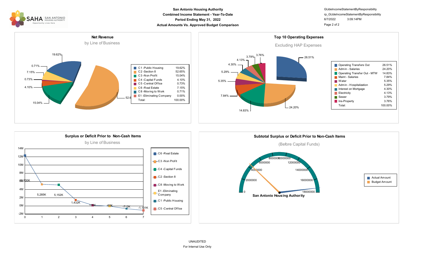

#### **Combined Income Statement - Year-To-Date Period Ending May 31, 2022 Actual Amounts Vs. Approved Budget Comparison Page 2 of 2 Page 2 of 2 San Antonio Housing Authority**

GlJdeIncomeStatementByResponsibility 6/7/2022 3:09:14PM rp\_GlJdeIncomeStatementByResponsibility